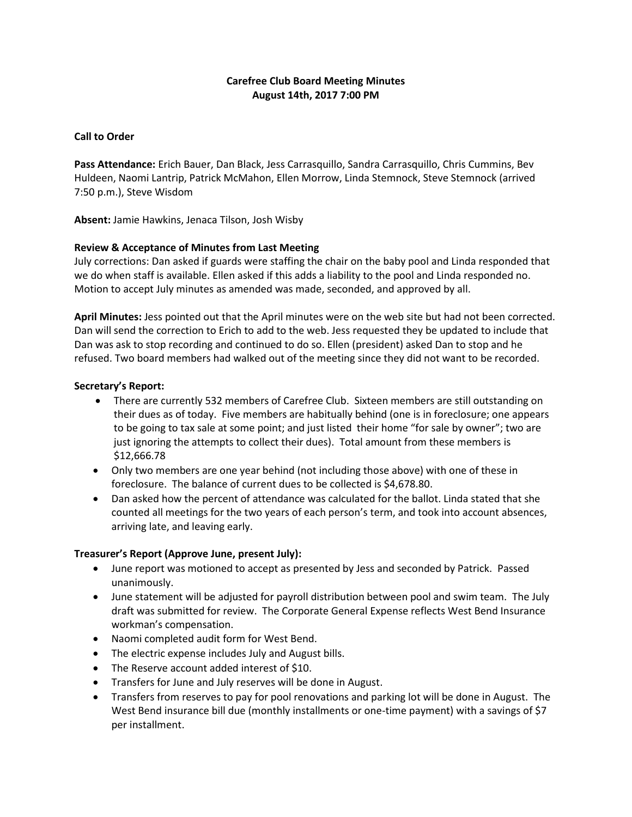# **Carefree Club Board Meeting Minutes August 14th, 2017 7:00 PM**

## **Call to Order**

**Pass Attendance:** Erich Bauer, Dan Black, Jess Carrasquillo, Sandra Carrasquillo, Chris Cummins, Bev Huldeen, Naomi Lantrip, Patrick McMahon, Ellen Morrow, Linda Stemnock, Steve Stemnock (arrived 7:50 p.m.), Steve Wisdom

**Absent:** Jamie Hawkins, Jenaca Tilson, Josh Wisby

# **Review & Acceptance of Minutes from Last Meeting**

July corrections: Dan asked if guards were staffing the chair on the baby pool and Linda responded that we do when staff is available. Ellen asked if this adds a liability to the pool and Linda responded no. Motion to accept July minutes as amended was made, seconded, and approved by all.

**April Minutes:** Jess pointed out that the April minutes were on the web site but had not been corrected. Dan will send the correction to Erich to add to the web. Jess requested they be updated to include that Dan was ask to stop recording and continued to do so. Ellen (president) asked Dan to stop and he refused. Two board members had walked out of the meeting since they did not want to be recorded.

## **Secretary's Report:**

- There are currently 532 members of Carefree Club. Sixteen members are still outstanding on their dues as of today. Five members are habitually behind (one is in foreclosure; one appears to be going to tax sale at some point; and just listed their home "for sale by owner"; two are just ignoring the attempts to collect their dues). Total amount from these members is \$12,666.78
- Only two members are one year behind (not including those above) with one of these in foreclosure. The balance of current dues to be collected is \$4,678.80.
- Dan asked how the percent of attendance was calculated for the ballot. Linda stated that she counted all meetings for the two years of each person's term, and took into account absences, arriving late, and leaving early.

## **Treasurer's Report (Approve June, present July):**

- June report was motioned to accept as presented by Jess and seconded by Patrick. Passed unanimously.
- June statement will be adjusted for payroll distribution between pool and swim team. The July draft was submitted for review. The Corporate General Expense reflects West Bend Insurance workman's compensation.
- Naomi completed audit form for West Bend.
- The electric expense includes July and August bills.
- The Reserve account added interest of \$10.
- Transfers for June and July reserves will be done in August.
- Transfers from reserves to pay for pool renovations and parking lot will be done in August. The West Bend insurance bill due (monthly installments or one-time payment) with a savings of \$7 per installment.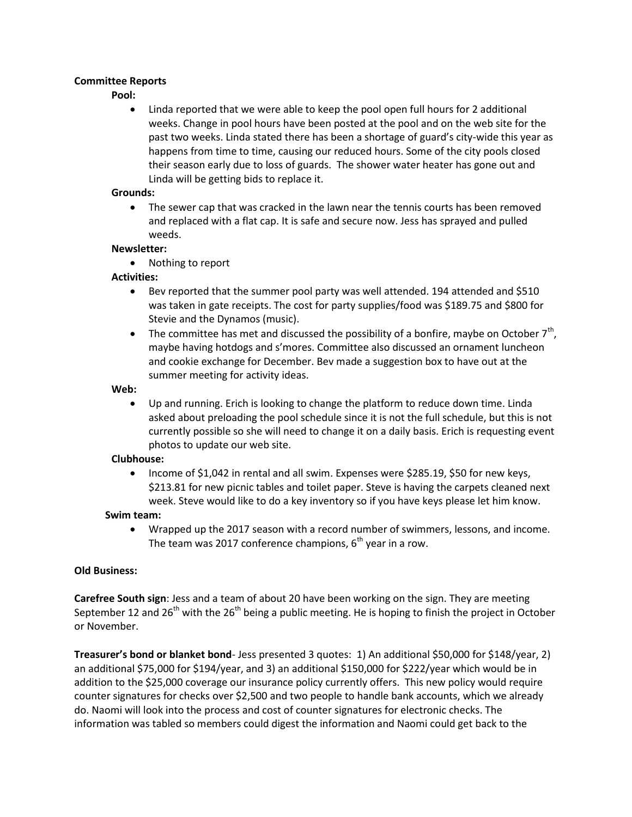## **Committee Reports**

### **Pool:**

 Linda reported that we were able to keep the pool open full hours for 2 additional weeks. Change in pool hours have been posted at the pool and on the web site for the past two weeks. Linda stated there has been a shortage of guard's city-wide this year as happens from time to time, causing our reduced hours. Some of the city pools closed their season early due to loss of guards. The shower water heater has gone out and Linda will be getting bids to replace it.

### **Grounds:**

 The sewer cap that was cracked in the lawn near the tennis courts has been removed and replaced with a flat cap. It is safe and secure now. Jess has sprayed and pulled weeds.

#### **Newsletter:**

• Nothing to report

## **Activities:**

- Bev reported that the summer pool party was well attended. 194 attended and \$510 was taken in gate receipts. The cost for party supplies/food was \$189.75 and \$800 for Stevie and the Dynamos (music).
- The committee has met and discussed the possibility of a bonfire, maybe on October  $7<sup>th</sup>$ , maybe having hotdogs and s'mores. Committee also discussed an ornament luncheon and cookie exchange for December. Bev made a suggestion box to have out at the summer meeting for activity ideas.

### **Web:**

 Up and running. Erich is looking to change the platform to reduce down time. Linda asked about preloading the pool schedule since it is not the full schedule, but this is not currently possible so she will need to change it on a daily basis. Erich is requesting event photos to update our web site.

## **Clubhouse:**

 Income of \$1,042 in rental and all swim. Expenses were \$285.19, \$50 for new keys, \$213.81 for new picnic tables and toilet paper. Steve is having the carpets cleaned next week. Steve would like to do a key inventory so if you have keys please let him know.

## **Swim team:**

 Wrapped up the 2017 season with a record number of swimmers, lessons, and income. The team was 2017 conference champions,  $6<sup>th</sup>$  year in a row.

## **Old Business:**

**Carefree South sign**: Jess and a team of about 20 have been working on the sign. They are meeting September 12 and  $26<sup>th</sup>$  with the  $26<sup>th</sup>$  being a public meeting. He is hoping to finish the project in October or November.

**Treasurer's bond or blanket bond**- Jess presented 3 quotes: 1) An additional \$50,000 for \$148/year, 2) an additional \$75,000 for \$194/year, and 3) an additional \$150,000 for \$222/year which would be in addition to the \$25,000 coverage our insurance policy currently offers. This new policy would require counter signatures for checks over \$2,500 and two people to handle bank accounts, which we already do. Naomi will look into the process and cost of counter signatures for electronic checks. The information was tabled so members could digest the information and Naomi could get back to the